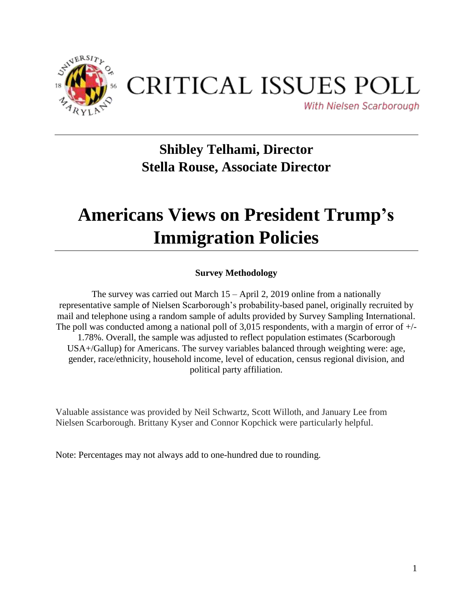

## CRITICAL ISSUES POLL

With Nielsen Scarborough

## **Shibley Telhami, Director Stella Rouse, Associate Director**

## **Americans Views on President Trump's Immigration Policies**

## **Survey Methodology**

The survey was carried out March 15 – April 2, 2019 online from a nationally representative sample of Nielsen Scarborough's probability-based panel, originally recruited by mail and telephone using a random sample of adults provided by Survey Sampling International. The poll was conducted among a national poll of 3,015 respondents, with a margin of error of  $+/-$ 1.78%. Overall, the sample was adjusted to reflect population estimates (Scarborough USA+/Gallup) for Americans. The survey variables balanced through weighting were: age, gender, race/ethnicity, household income, level of education, census regional division, and political party affiliation.

Valuable assistance was provided by Neil Schwartz, Scott Willoth, and January Lee from Nielsen Scarborough. Brittany Kyser and Connor Kopchick were particularly helpful.

Note: Percentages may not always add to one-hundred due to rounding.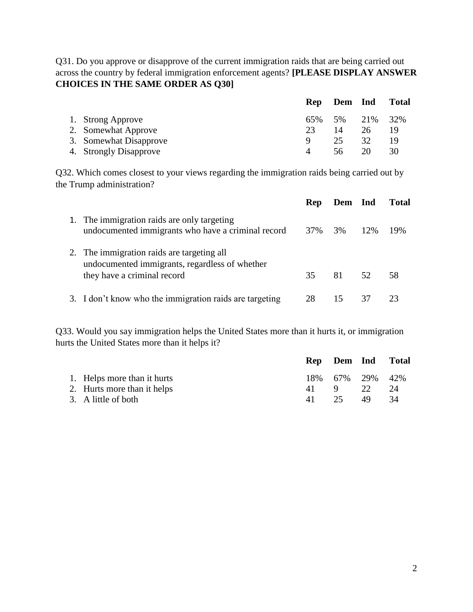Q31. Do you approve or disapprove of the current immigration raids that are being carried out across the country by federal immigration enforcement agents? **[PLEASE DISPLAY ANSWER CHOICES IN THE SAME ORDER AS Q30]**

|                        |     | Rep Dem Ind |    | <b>Total</b> |
|------------------------|-----|-------------|----|--------------|
| 1. Strong Approve      | 65% | 5% 21%      |    | 32%          |
| 2. Somewhat Approve    | 23  | 14          | 26 | 19           |
| 3. Somewhat Disapprove | Q   | 25          | 32 | 19           |
| 4. Strongly Disapprove |     | 56.         | 20 | 30           |

Q32. Which comes closest to your views regarding the immigration raids being carried out by the Trump administration?

|                                                                                                                             | Rep | Dem Ind |        | Total |
|-----------------------------------------------------------------------------------------------------------------------------|-----|---------|--------|-------|
| 1. The immigration raids are only targeting<br>undocumented immigrants who have a criminal record                           | 37% | 3%      | $12\%$ | 19%   |
| 2. The immigration raids are targeting all<br>undocumented immigrants, regardless of whether<br>they have a criminal record | 35  | 81      | 52.    | 58    |
| 3. I don't know who the immigration raids are targeting                                                                     | 28  | 15      |        |       |

Q33. Would you say immigration helps the United States more than it hurts it, or immigration hurts the United States more than it helps it?

|                             |      | Rep Dem Ind Total |    |    |
|-----------------------------|------|-------------------|----|----|
| 1. Helps more than it hurts |      | 18% 67% 29% 42%   |    |    |
| 2. Hurts more than it helps | 41 9 |                   | 22 | 24 |
| 3. A little of both         |      | 25                | 49 | 34 |